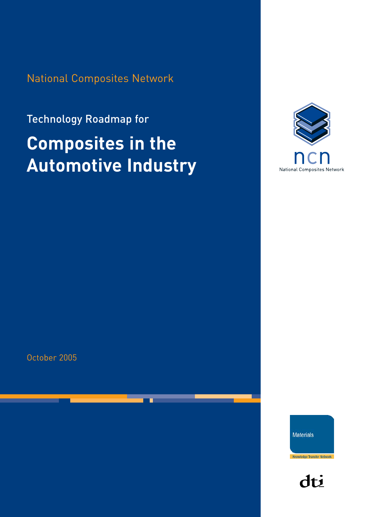National Composites Network

# Technology Roadmap for **Composites in the Automotive Industry**



October 2005

**Materials** 

Knowledge Transfer Network

dti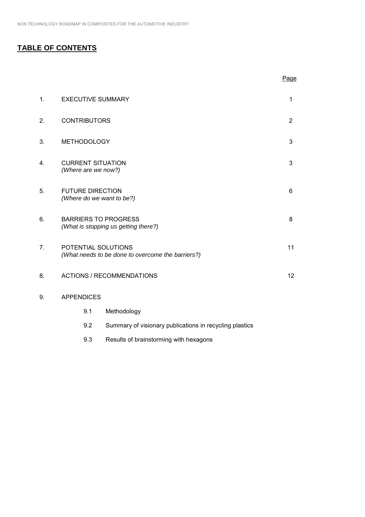# **TABLE OF CONTENTS**

|                |                                                                          |                                                         | Page           |
|----------------|--------------------------------------------------------------------------|---------------------------------------------------------|----------------|
| $\mathbf{1}$ . | <b>EXECUTIVE SUMMARY</b>                                                 |                                                         | 1              |
| 2.             | <b>CONTRIBUTORS</b>                                                      |                                                         | $\overline{2}$ |
| 3.             | <b>METHODOLOGY</b>                                                       |                                                         | 3              |
| 4.             | <b>CURRENT SITUATION</b><br>(Where are we now?)                          |                                                         | 3              |
| 5.             | <b>FUTURE DIRECTION</b><br>(Where do we want to be?)                     |                                                         | 6              |
| 6.             | <b>BARRIERS TO PROGRESS</b>                                              | (What is stopping us getting there?)                    | 8              |
| 7 <sub>1</sub> | POTENTIAL SOLUTIONS<br>(What needs to be done to overcome the barriers?) |                                                         | 11             |
| 8.             |                                                                          | <b>ACTIONS / RECOMMENDATIONS</b>                        | 12             |
| 9.             | <b>APPENDICES</b>                                                        |                                                         |                |
|                | 9.1                                                                      | Methodology                                             |                |
|                | 9.2                                                                      | Summary of visionary publications in recycling plastics |                |

9.3 Results of brainstorming with hexagons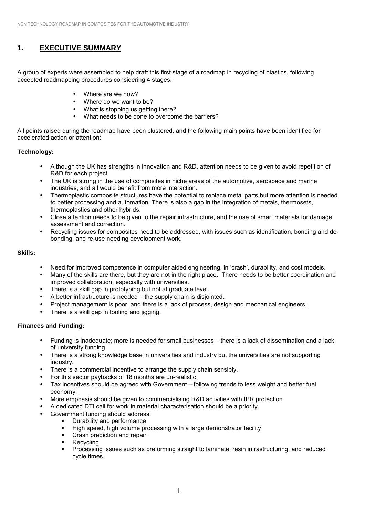# **1. EXECUTIVE SUMMARY**

A group of experts were assembled to help draft this first stage of a roadmap in recycling of plastics, following accepted roadmapping procedures considering 4 stages:

- Where are we now?
- Where do we want to be?
- What is stopping us getting there?
- What needs to be done to overcome the barriers?

All points raised during the roadmap have been clustered, and the following main points have been identified for accelerated action or attention:

#### **Technology:**

- Although the UK has strengths in innovation and R&D, attention needs to be given to avoid repetition of R&D for each project.
- The UK is strong in the use of composites in niche areas of the automotive, aerospace and marine industries, and all would benefit from more interaction.
- Thermoplastic composite structures have the potential to replace metal parts but more attention is needed to better processing and automation. There is also a gap in the integration of metals, thermosets, thermoplastics and other hybrids.
- Close attention needs to be given to the repair infrastructure, and the use of smart materials for damage assessment and correction.
- Recycling issues for composites need to be addressed, with issues such as identification, bonding and debonding, and re-use needing development work.

## **Skills:**

- Need for improved competence in computer aided engineering, in 'crash', durability, and cost models.
- Many of the skills are there, but they are not in the right place. There needs to be better coordination and improved collaboration, especially with universities.
- There is a skill gap in prototyping but not at graduate level.
- A better infrastructure is needed  $-$  the supply chain is disjointed.
- Project management is poor, and there is a lack of process, design and mechanical engineers.
- There is a skill gap in tooling and jigging.

#### **Finances and Funding:**

- Funding is inadequate; more is needed for small businesses there is a lack of dissemination and a lack of university funding.
- There is a strong knowledge base in universities and industry but the universities are not supporting industry.
- There is a commercial incentive to arrange the supply chain sensibly.
- For this sector paybacks of 18 months are un-realistic.
- Tax incentives should be agreed with Government following trends to less weight and better fuel economy.
- More emphasis should be given to commercialising R&D activities with IPR protection.
- A dedicated DTI call for work in material characterisation should be a priority.
- Government funding should address:
	- Durability and performance
	- ! High speed, high volume processing with a large demonstrator facility
	- ! Crash prediction and repair
	- Recycling
	- ! Processing issues such as preforming straight to laminate, resin infrastructuring, and reduced cycle times.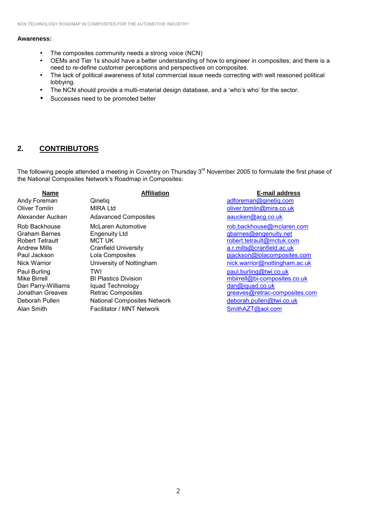#### **Awareness:**

- The composites community needs a strong voice (NCN)
- OEMs and Tier 1s should have a better understanding of how to engineer in composites; and there is a need to re-define customer perceptions and perspectives on composites.
- The lack of political awareness of total commercial issue needs correcting with well reasoned political lobbying.
- The NCN should provide a multi-material design database, and a 'who's who' for the sector.
- Successes need to be promoted better

## **2. CONTRIBUTORS**

The following people attended a meeting in Coventry on Thursday 3<sup>rd</sup> November 2005 to formulate the first phase of the National Composites Networkís Roadmap in Composites:

| <b>Name</b>                                                                                                                                                                                                                                    | <b>Affiliation</b>                                                                                                                                                                                                                                                                                 | E-mail address                                                                                                                                                                                                                                                                                                                             |
|------------------------------------------------------------------------------------------------------------------------------------------------------------------------------------------------------------------------------------------------|----------------------------------------------------------------------------------------------------------------------------------------------------------------------------------------------------------------------------------------------------------------------------------------------------|--------------------------------------------------------------------------------------------------------------------------------------------------------------------------------------------------------------------------------------------------------------------------------------------------------------------------------------------|
| Andy Foreman                                                                                                                                                                                                                                   | Qinetiq                                                                                                                                                                                                                                                                                            | adforeman@qinetiq.com                                                                                                                                                                                                                                                                                                                      |
| Oliver Tomlin                                                                                                                                                                                                                                  | <b>MIRA Ltd</b>                                                                                                                                                                                                                                                                                    | oliver.tomlin@mira.co.uk                                                                                                                                                                                                                                                                                                                   |
| Alexander Aucken                                                                                                                                                                                                                               | <b>Adavanced Composites</b>                                                                                                                                                                                                                                                                        | aaucken@acg.co.uk                                                                                                                                                                                                                                                                                                                          |
| Rob Backhouse<br><b>Graham Barnes</b><br><b>Robert Tetrault</b><br><b>Andrew Mills</b><br>Paul Jackson<br><b>Nick Warrior</b><br>Paul Burling<br><b>Mike Birrell</b><br>Dan Parry-Williams<br>Jonathan Greaves<br>Deborah Pullen<br>Alan Smith | McLaren Automotive<br><b>Engenuity Ltd</b><br><b>MCT UK</b><br><b>Cranfield University</b><br>Lola Composites<br>University of Nottingham<br>TWI<br><b>BI Plastics Division</b><br>Iquad Technology<br><b>Retrac Composites</b><br><b>National Composites Network</b><br>Facilitator / MNT Network | rob.backhouse@mclaren.com<br>gbarnes@engenuity.net<br>robert.tetrault@mctuk.com<br>a.r.mills@cranfield.ac.uk<br>pjackson@lolacomposites.com<br>nick.warrior@nottingham.ac.uk<br>paul.burling@twi.co.uk<br>mbirrell@bi-composites.co.uk<br>dan@iquad.co.uk<br>greaves@retrac-composites.com<br>deborah.pullen@twi.co.uk<br>SmithAZT@aol.com |
|                                                                                                                                                                                                                                                |                                                                                                                                                                                                                                                                                                    |                                                                                                                                                                                                                                                                                                                                            |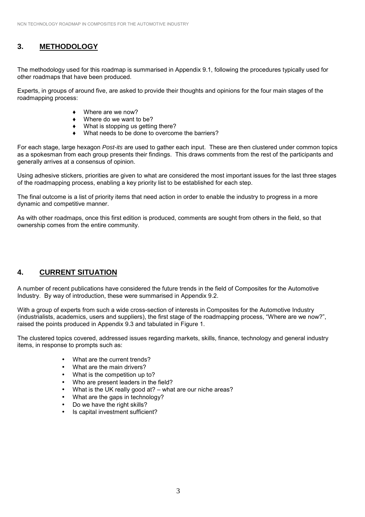# **3. METHODOLOGY**

The methodology used for this roadmap is summarised in Appendix 9.1, following the procedures typically used for other roadmaps that have been produced.

Experts, in groups of around five, are asked to provide their thoughts and opinions for the four main stages of the roadmapping process:

- ♦ Where are we now?
- $\bullet$  Where do we want to be?
- ♦ What is stopping us getting there?
- What needs to be done to overcome the barriers?

For each stage, large hexagon *Post-its* are used to gather each input. These are then clustered under common topics as a spokesman from each group presents their findings. This draws comments from the rest of the participants and generally arrives at a consensus of opinion.

Using adhesive stickers, priorities are given to what are considered the most important issues for the last three stages of the roadmapping process, enabling a key priority list to be established for each step.

The final outcome is a list of priority items that need action in order to enable the industry to progress in a more dynamic and competitive manner.

As with other roadmaps, once this first edition is produced, comments are sought from others in the field, so that ownership comes from the entire community.

## **4. CURRENT SITUATION**

A number of recent publications have considered the future trends in the field of Composites for the Automotive Industry. By way of introduction, these were summarised in Appendix 9.2.

With a group of experts from such a wide cross-section of interests in Composites for the Automotive Industry (industrialists, academics, users and suppliers), the first stage of the roadmapping process, "Where are we now?", raised the points produced in Appendix 9.3 and tabulated in Figure 1.

The clustered topics covered, addressed issues regarding markets, skills, finance, technology and general industry items, in response to prompts such as:

- What are the current trends?
- What are the main drivers?
- What is the competition up to?
- Who are present leaders in the field?
- What is the UK really good at?  $-$  what are our niche areas?
- What are the gaps in technology?
- Do we have the right skills?
- Is capital investment sufficient?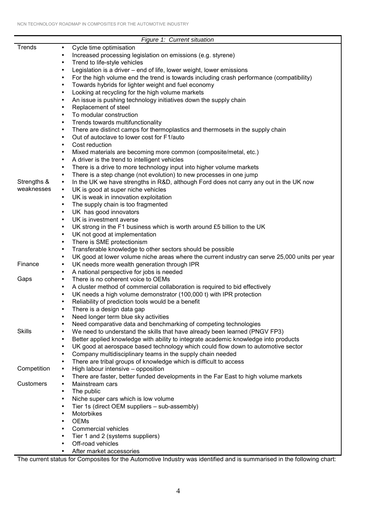|               | Figure 1: Current situation                                                                                                                                              |
|---------------|--------------------------------------------------------------------------------------------------------------------------------------------------------------------------|
| Trends        | Cycle time optimisation<br>$\bullet$                                                                                                                                     |
|               | Increased processing legislation on emissions (e.g. styrene)<br>$\bullet$                                                                                                |
|               | Trend to life-style vehicles<br>$\bullet$                                                                                                                                |
|               | Legislation is a driver - end of life, lower weight, lower emissions<br>$\bullet$                                                                                        |
|               | For the high volume end the trend is towards including crash performance (compatibility)<br>$\bullet$                                                                    |
|               | Towards hybrids for lighter weight and fuel economy<br>$\bullet$                                                                                                         |
|               | Looking at recycling for the high volume markets<br>$\bullet$                                                                                                            |
|               | An issue is pushing technology initiatives down the supply chain<br>$\bullet$                                                                                            |
|               | Replacement of steel<br>$\bullet$                                                                                                                                        |
|               | To modular construction<br>$\bullet$                                                                                                                                     |
|               | Trends towards multifunctionality<br>$\bullet$                                                                                                                           |
|               | There are distinct camps for thermoplastics and thermosets in the supply chain<br>٠                                                                                      |
|               | Out of autoclave to lower cost for F1/auto<br>$\bullet$                                                                                                                  |
|               | Cost reduction<br>$\bullet$                                                                                                                                              |
|               | Mixed materials are becoming more common (composite/metal, etc.)<br>$\bullet$                                                                                            |
|               | A driver is the trend to intelligent vehicles<br>$\bullet$                                                                                                               |
|               | There is a drive to more technology input into higher volume markets<br>$\bullet$                                                                                        |
| Strengths &   | There is a step change (not evolution) to new processes in one jump<br>$\bullet$                                                                                         |
| weaknesses    | In the UK we have strengths in R&D, although Ford does not carry any out in the UK now<br>$\bullet$<br>UK is good at super niche vehicles<br>$\bullet$                   |
|               | UK is weak in innovation exploitation<br>$\bullet$                                                                                                                       |
|               | The supply chain is too fragmented<br>$\bullet$                                                                                                                          |
|               | UK has good innovators<br>$\bullet$                                                                                                                                      |
|               | UK is investment averse<br>$\bullet$                                                                                                                                     |
|               | UK strong in the F1 business which is worth around £5 billion to the UK<br>$\bullet$                                                                                     |
|               | UK not good at implementation<br>$\bullet$                                                                                                                               |
|               | There is SME protectionism<br>$\bullet$                                                                                                                                  |
|               | Transferable knowledge to other sectors should be possible<br>$\bullet$                                                                                                  |
|               | UK good at lower volume niche areas where the current industry can serve 25,000 units per year<br>$\bullet$                                                              |
| Finance       | UK needs more wealth generation through IPR<br>$\bullet$                                                                                                                 |
|               | A national perspective for jobs is needed<br>$\bullet$                                                                                                                   |
| Gaps          | There is no coherent voice to OEMs<br>$\bullet$                                                                                                                          |
|               | A cluster method of commercial collaboration is required to bid effectively<br>$\bullet$                                                                                 |
|               | UK needs a high volume demonstrator (100,000 t) with IPR protection<br>$\bullet$                                                                                         |
|               | Reliability of prediction tools would be a benefit<br>$\bullet$                                                                                                          |
|               | There is a design data gap                                                                                                                                               |
|               | Need longer term blue sky activities<br>$\bullet$                                                                                                                        |
| <b>Skills</b> | Need comparative data and benchmarking of competing technologies<br>$\bullet$<br>We need to understand the skills that have already been learned (PNGV FP3)<br>$\bullet$ |
|               | Better applied knowledge with ability to integrate academic knowledge into products<br>$\bullet$                                                                         |
|               | UK good at aerospace based technology which could flow down to automotive sector<br>$\bullet$                                                                            |
|               | Company multidisciplinary teams in the supply chain needed<br>$\bullet$                                                                                                  |
|               | There are tribal groups of knowledge which is difficult to access<br>$\bullet$                                                                                           |
| Competition   | High labour intensive - opposition<br>$\bullet$                                                                                                                          |
|               | There are faster, better funded developments in the Far East to high volume markets<br>$\bullet$                                                                         |
| Customers     | Mainstream cars<br>$\bullet$                                                                                                                                             |
|               | The public<br>$\bullet$                                                                                                                                                  |
|               | Niche super cars which is low volume<br>$\bullet$                                                                                                                        |
|               | Tier 1s (direct OEM suppliers - sub-assembly)<br>$\bullet$                                                                                                               |
|               | Motorbikes<br>$\bullet$                                                                                                                                                  |
|               | <b>OEMs</b><br>$\bullet$                                                                                                                                                 |
|               | Commercial vehicles<br>$\bullet$                                                                                                                                         |
|               | Tier 1 and 2 (systems suppliers)<br>$\bullet$                                                                                                                            |
|               | Off-road vehicles<br>$\bullet$                                                                                                                                           |
|               | After market accessories<br>$\bullet$                                                                                                                                    |

The current status for Composites for the Automotive Industry was identified and is summarised in the following chart: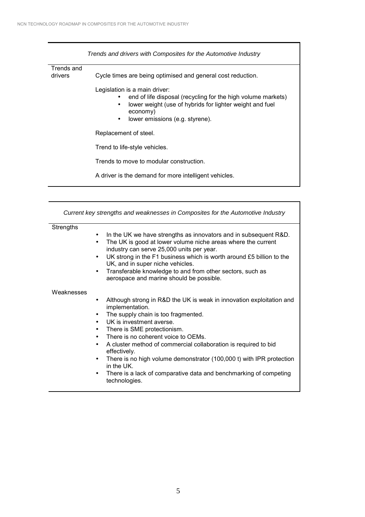|                       | Trends and drivers with Composites for the Automotive Industry                                                                                                                                                             |  |  |
|-----------------------|----------------------------------------------------------------------------------------------------------------------------------------------------------------------------------------------------------------------------|--|--|
| Trends and<br>drivers | Cycle times are being optimised and general cost reduction.                                                                                                                                                                |  |  |
|                       | Legislation is a main driver:<br>end of life disposal (recycling for the high volume markets)<br>lower weight (use of hybrids for lighter weight and fuel<br>٠<br>economy)<br>lower emissions (e.g. styrene).<br>$\bullet$ |  |  |
|                       | Replacement of steel.                                                                                                                                                                                                      |  |  |
|                       | Trend to life-style vehicles.                                                                                                                                                                                              |  |  |
|                       | Trends to move to modular construction.                                                                                                                                                                                    |  |  |
|                       | A driver is the demand for more intelligent vehicles.                                                                                                                                                                      |  |  |

| Current key strengths and weaknesses in Composites for the Automotive Industry |                                                                                                                                                                                                                                                                                                                                                                                                                                                                                                      |  |  |
|--------------------------------------------------------------------------------|------------------------------------------------------------------------------------------------------------------------------------------------------------------------------------------------------------------------------------------------------------------------------------------------------------------------------------------------------------------------------------------------------------------------------------------------------------------------------------------------------|--|--|
| <b>Strengths</b>                                                               | In the UK we have strengths as innovators and in subsequent R&D.<br>$\bullet$<br>The UK is good at lower volume niche areas where the current<br>$\bullet$<br>industry can serve 25,000 units per year.<br>UK strong in the F1 business which is worth around £5 billion to the<br>$\bullet$<br>UK, and in super niche vehicles.<br>Transferable knowledge to and from other sectors, such as<br>$\bullet$<br>aerospace and marine should be possible.                                               |  |  |
| Weaknesses                                                                     | Although strong in R&D the UK is weak in innovation exploitation and<br>$\bullet$<br>implementation.<br>The supply chain is too fragmented.<br>$\bullet$<br>UK is investment averse.<br>$\bullet$<br>There is SME protectionism.<br>$\bullet$<br>There is no coherent voice to OEMs.<br>$\bullet$<br>A cluster method of commercial collaboration is required to bid<br>$\bullet$<br>effectively.<br>There is no high volume demonstrator (100,000 t) with IPR protection<br>$\bullet$<br>in the UK. |  |  |

• There is a lack of comparative data and benchmarking of competing technologies.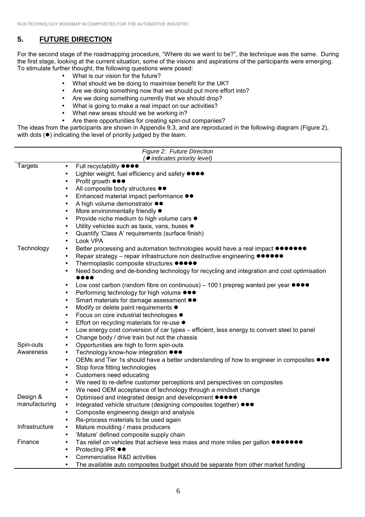# **5. FUTURE DIRECTION**

For the second stage of the roadmapping procedure, "Where do we want to be?", the technique was the same. During the first stage, looking at the current situation, some of the visions and aspirations of the participants were emerging. To stimulate further thought, the following questions were posed:

- What is our vision for the future?
- What should we be doing to maximise benefit for the UK?
- Are we doing something now that we should put more effort into?
- Are we doing something currently that we should drop?
- What is going to make a real impact on our activities?
- What new areas should we be working in?
- Are there opportunities for creating spin-out companies?

The ideas from the participants are shown in Appendix 9.3, and are reproduced in the following diagram (Figure 2), with dots  $(•)$  indicating the level of priority judged by the team.

| Figure 2: Future Direction |                                                                                                                                    |  |  |  |
|----------------------------|------------------------------------------------------------------------------------------------------------------------------------|--|--|--|
|                            | (● indicates priority level)                                                                                                       |  |  |  |
| <b>Targets</b>             | Full recyclability ●●●●<br>$\bullet$                                                                                               |  |  |  |
|                            | Lighter weight, fuel efficiency and safety $\bullet \bullet \bullet \bullet$<br>$\bullet$                                          |  |  |  |
|                            | Profit growth ●●●<br>$\bullet$                                                                                                     |  |  |  |
|                            | All composite body structures $\bullet\bullet$<br>$\bullet$                                                                        |  |  |  |
|                            | Enhanced material impact performance $\bullet\bullet$<br>$\bullet$                                                                 |  |  |  |
|                            | A high volume demonstrator $\bullet\bullet$<br>$\bullet$                                                                           |  |  |  |
|                            | More environmentally friendly $\bullet$<br>$\bullet$                                                                               |  |  |  |
|                            | Provide niche medium to high volume cars ●<br>$\bullet$                                                                            |  |  |  |
|                            | Utility vehicles such as taxis, vans, buses $\bullet$<br>$\bullet$                                                                 |  |  |  |
|                            | Quantify 'Class A' requirements (surface finish)<br>٠                                                                              |  |  |  |
|                            | Look VPA                                                                                                                           |  |  |  |
| Technology                 | Better processing and automation technologies would have a real impact $\bullet\bullet\bullet\bullet\bullet\bullet$<br>$\bullet$   |  |  |  |
|                            | Repair strategy - repair infrastructure non destructive engineering $\bullet \bullet \bullet \bullet \bullet \bullet$<br>$\bullet$ |  |  |  |
|                            | Thermoplastic composite structures ●●●●<br>$\bullet$                                                                               |  |  |  |
|                            | Need bonding and de-bonding technology for recycling and integration and cost optimisation<br>$\bullet$                            |  |  |  |
|                            | Low cost carbon (random fibre on continuous) – 100 t prepreg wanted per year $\bullet \bullet \bullet \bullet$<br>$\bullet$        |  |  |  |
|                            | Performing technology for high volume $\bullet\bullet\bullet$<br>$\bullet$                                                         |  |  |  |
|                            | Smart materials for damage assessment $\bullet\bullet$<br>$\bullet$                                                                |  |  |  |
|                            | Modify or delete paint requirements $\bullet$<br>$\bullet$                                                                         |  |  |  |
|                            | Focus on core industrial technologies $\bullet$<br>$\bullet$                                                                       |  |  |  |
|                            | Effort on recycling materials for re-use $\bullet$<br>$\bullet$                                                                    |  |  |  |
|                            | Low energy cost conversion of car types – efficient, less energy to convert steel to panel<br>$\bullet$                            |  |  |  |
|                            | Change body / drive train but not the chassis<br>$\bullet$                                                                         |  |  |  |
| Spin-outs                  | Opportunities are high to form spin-outs<br>$\bullet$                                                                              |  |  |  |
| Awareness                  | Technology know-how integration ●●●<br>$\bullet$                                                                                   |  |  |  |
|                            | OEMs and Tier 1s should have a better understanding of how to engineer in composites (<br>$\bullet$                                |  |  |  |
|                            | Stop force fitting technologies<br>$\bullet$                                                                                       |  |  |  |
|                            | Customers need educating<br>$\bullet$                                                                                              |  |  |  |
|                            | We need to re-define customer perceptions and perspectives on composites<br>$\bullet$                                              |  |  |  |
|                            | We need OEM acceptance of technology through a mindset change<br>$\bullet$                                                         |  |  |  |
| Design &                   | Optimised and integrated design and development $\bullet \bullet \bullet \bullet$<br>$\bullet$                                     |  |  |  |
| manufacturing              | Integrated vehicle structure (designing composites together) $\bullet\bullet\bullet$<br>$\bullet$                                  |  |  |  |
|                            | Composite engineering design and analysis                                                                                          |  |  |  |
|                            | Re-process materials to be used again                                                                                              |  |  |  |
| Infrastructure             | Mature moulding / mass producers                                                                                                   |  |  |  |
|                            | 'Mature' defined composite supply chain                                                                                            |  |  |  |
| Finance                    | Tax relief on vehicles that achieve less mass and more miles per gallon $\bullet\bullet\bullet\bullet\bullet\bullet$               |  |  |  |
|                            | Protecting IPR ●●                                                                                                                  |  |  |  |
|                            | Commercialise R&D activities                                                                                                       |  |  |  |
|                            | The available auto composites budget should be separate from other market funding                                                  |  |  |  |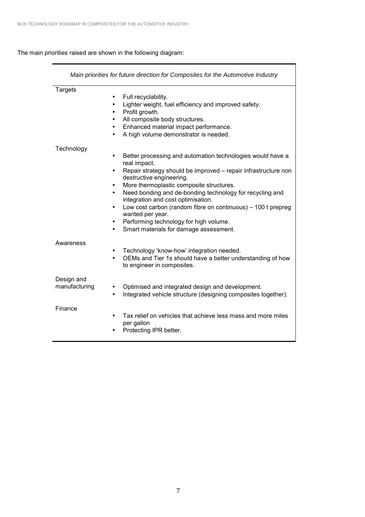The main priorities raised are shown in the following diagram:

| Main priorities for future direction for Composites for the Automotive Industry |                                                                                                                                                                                                                                                                                                                                                                                                                                                                                                                                                 |  |  |
|---------------------------------------------------------------------------------|-------------------------------------------------------------------------------------------------------------------------------------------------------------------------------------------------------------------------------------------------------------------------------------------------------------------------------------------------------------------------------------------------------------------------------------------------------------------------------------------------------------------------------------------------|--|--|
| <b>Targets</b>                                                                  | Full recyclability.<br>$\bullet$<br>Lighter weight, fuel efficiency and improved safety.<br>$\bullet$<br>Profit growth.<br>$\bullet$<br>All composite body structures.<br>٠<br>Enhanced material impact performance.<br>$\bullet$<br>A high volume demonstrator is needed.<br>$\bullet$                                                                                                                                                                                                                                                         |  |  |
| Technology                                                                      | Better processing and automation technologies would have a<br>$\bullet$<br>real impact.<br>Repair strategy should be improved - repair infrastructure non<br>٠<br>destructive engineering.<br>More thermoplastic composite structures.<br>٠<br>Need bonding and de-bonding technology for recycling and<br>$\bullet$<br>integration and cost optimisation.<br>Low cost carbon (random fibre on continuous) - 100 t prepreg<br>$\bullet$<br>wanted per year.<br>Performing technology for high volume.<br>Smart materials for damage assessment. |  |  |
| Awareness                                                                       | Technology 'know-how' integration needed.<br>$\bullet$<br>OEMs and Tier 1s should have a better understanding of how<br>to engineer in composites.                                                                                                                                                                                                                                                                                                                                                                                              |  |  |
| Design and<br>manufacturing                                                     | Optimised and integrated design and development.<br>Integrated vehicle structure (designing composites together).<br>$\bullet$                                                                                                                                                                                                                                                                                                                                                                                                                  |  |  |
| Finance                                                                         | Tax relief on vehicles that achieve less mass and more miles<br>$\bullet$<br>per gallon<br>Protecting IPR better.                                                                                                                                                                                                                                                                                                                                                                                                                               |  |  |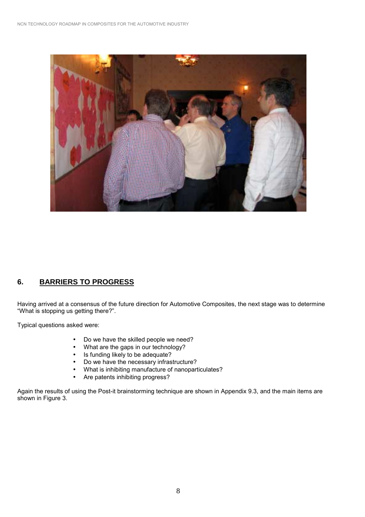

# **6. BARRIERS TO PROGRESS**

Having arrived at a consensus of the future direction for Automotive Composites, the next stage was to determine "What is stopping us getting there?".

Typical questions asked were:

- Do we have the skilled people we need?
- What are the gaps in our technology?
- Is funding likely to be adequate?
- Do we have the necessary infrastructure?
- What is inhibiting manufacture of nanoparticulates?
- Are patents inhibiting progress?

Again the results of using the Post-it brainstorming technique are shown in Appendix 9.3, and the main items are shown in Figure 3.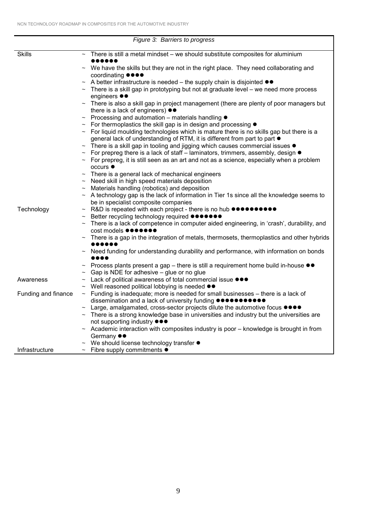| Figure 3: Barriers to progress                                                                  |                                                                                                                                                                                                                   |  |  |  |  |
|-------------------------------------------------------------------------------------------------|-------------------------------------------------------------------------------------------------------------------------------------------------------------------------------------------------------------------|--|--|--|--|
| <b>Skills</b><br>There is still a metal mindset – we should substitute composites for aluminium |                                                                                                                                                                                                                   |  |  |  |  |
|                                                                                                 |                                                                                                                                                                                                                   |  |  |  |  |
|                                                                                                 | $\sim$ We have the skills but they are not in the right place. They need collaborating and                                                                                                                        |  |  |  |  |
|                                                                                                 | coordinating ●●●●                                                                                                                                                                                                 |  |  |  |  |
|                                                                                                 | A better infrastructure is needed – the supply chain is disjointed $\bullet\bullet$                                                                                                                               |  |  |  |  |
|                                                                                                 | There is a skill gap in prototyping but not at graduate level - we need more process<br>$\sim$<br>engineers $\bullet\bullet$                                                                                      |  |  |  |  |
|                                                                                                 | There is also a skill gap in project management (there are plenty of poor managers but                                                                                                                            |  |  |  |  |
|                                                                                                 | there is a lack of engineers) $\bullet\bullet$                                                                                                                                                                    |  |  |  |  |
|                                                                                                 | Processing and automation – materials handling ●                                                                                                                                                                  |  |  |  |  |
|                                                                                                 | For thermoplastics the skill gap is in design and processing $\bullet$                                                                                                                                            |  |  |  |  |
|                                                                                                 | $\sim$ For liquid moulding technologies which is mature there is no skills gap but there is a                                                                                                                     |  |  |  |  |
|                                                                                                 | general lack of understanding of RTM, it is different from part to part ●<br>There is a skill gap in tooling and jigging which causes commercial issues $\bullet$                                                 |  |  |  |  |
|                                                                                                 | For prepreg there is a lack of staff - laminators, trimmers, assembly, design $\bullet$                                                                                                                           |  |  |  |  |
|                                                                                                 | For prepreg, it is still seen as an art and not as a science, especially when a problem                                                                                                                           |  |  |  |  |
|                                                                                                 | occurs ●                                                                                                                                                                                                          |  |  |  |  |
|                                                                                                 | There is a general lack of mechanical engineers                                                                                                                                                                   |  |  |  |  |
|                                                                                                 | Need skill in high speed materials deposition                                                                                                                                                                     |  |  |  |  |
|                                                                                                 | Materials handling (robotics) and deposition                                                                                                                                                                      |  |  |  |  |
|                                                                                                 | A technology gap is the lack of information in Tier 1s since all the knowledge seems to<br>be in specialist composite companies                                                                                   |  |  |  |  |
| Technology                                                                                      | R&D is repeated with each project - there is no hub $\bullet \bullet \bullet \bullet \bullet \bullet \bullet \bullet \bullet$                                                                                     |  |  |  |  |
|                                                                                                 | Better recycling technology required ●●●●●                                                                                                                                                                        |  |  |  |  |
|                                                                                                 | There is a lack of competence in computer aided engineering, in 'crash', durability, and                                                                                                                          |  |  |  |  |
|                                                                                                 | cost models $\bullet\bullet\bullet\bullet\bullet$                                                                                                                                                                 |  |  |  |  |
|                                                                                                 | There is a gap in the integration of metals, thermosets, thermoplastics and other hybrids                                                                                                                         |  |  |  |  |
|                                                                                                 | Need funding for understanding durability and performance, with information on bonds                                                                                                                              |  |  |  |  |
|                                                                                                 |                                                                                                                                                                                                                   |  |  |  |  |
|                                                                                                 | Process plants present a gap – there is still a requirement home build in-house ●●                                                                                                                                |  |  |  |  |
|                                                                                                 | Gap is NDE for adhesive - glue or no glue                                                                                                                                                                         |  |  |  |  |
| Awareness                                                                                       | Lack of political awareness of total commercial issue $\bullet\bullet\bullet$                                                                                                                                     |  |  |  |  |
|                                                                                                 | Well reasoned political lobbying is needed $\bullet\bullet$                                                                                                                                                       |  |  |  |  |
| Funding and finance                                                                             | $\sim$ Funding is inadequate; more is needed for small businesses – there is a lack of<br>dissemination and a lack of university funding $\bullet\bullet\bullet\bullet\bullet\bullet\bullet\bullet\bullet\bullet$ |  |  |  |  |
|                                                                                                 | Large, amalgamated, cross-sector projects dilute the automotive focus $\bullet \bullet \bullet \bullet$                                                                                                           |  |  |  |  |
|                                                                                                 | There is a strong knowledge base in universities and industry but the universities are                                                                                                                            |  |  |  |  |
|                                                                                                 | not supporting industry $\bullet\bullet\bullet$                                                                                                                                                                   |  |  |  |  |
|                                                                                                 | Academic interaction with composites industry is poor - knowledge is brought in from                                                                                                                              |  |  |  |  |
|                                                                                                 | Germany $\bullet\bullet$                                                                                                                                                                                          |  |  |  |  |
|                                                                                                 | We should license technology transfer $\bullet$                                                                                                                                                                   |  |  |  |  |
| Infrastructure                                                                                  | $\sim$ Fibre supply commitments $\bullet$                                                                                                                                                                         |  |  |  |  |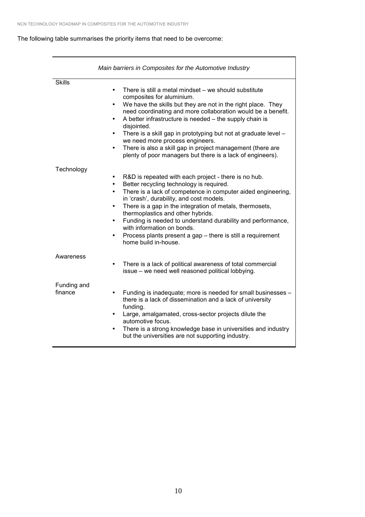## The following table summarises the priority items that need to be overcome:

|                        | Main barriers in Composites for the Automotive Industry                                                                                                                                                                                                                                                                                                                                                                                                                                                                                                                                         |  |  |
|------------------------|-------------------------------------------------------------------------------------------------------------------------------------------------------------------------------------------------------------------------------------------------------------------------------------------------------------------------------------------------------------------------------------------------------------------------------------------------------------------------------------------------------------------------------------------------------------------------------------------------|--|--|
| <b>Skills</b>          | There is still a metal mindset - we should substitute<br>$\bullet$<br>composites for aluminium.<br>We have the skills but they are not in the right place. They<br>$\bullet$<br>need coordinating and more collaboration would be a benefit.<br>A better infrastructure is needed - the supply chain is<br>$\bullet$<br>disjointed.<br>There is a skill gap in prototyping but not at graduate level -<br>$\bullet$<br>we need more process engineers.<br>There is also a skill gap in project management (there are<br>$\bullet$<br>plenty of poor managers but there is a lack of engineers). |  |  |
| Technology             | R&D is repeated with each project - there is no hub.<br>$\bullet$<br>Better recycling technology is required.<br>$\bullet$<br>There is a lack of competence in computer aided engineering,<br>$\bullet$<br>in 'crash', durability, and cost models.<br>There is a gap in the integration of metals, thermosets,<br>$\bullet$<br>thermoplastics and other hybrids.<br>Funding is needed to understand durability and performance,<br>$\bullet$<br>with information on bonds.<br>Process plants present a gap - there is still a requirement<br>$\bullet$<br>home build in-house.                 |  |  |
| Awareness              | There is a lack of political awareness of total commercial<br>٠<br>issue - we need well reasoned political lobbying.                                                                                                                                                                                                                                                                                                                                                                                                                                                                            |  |  |
| Funding and<br>finance | Funding is inadequate; more is needed for small businesses -<br>$\bullet$<br>there is a lack of dissemination and a lack of university<br>funding.<br>Large, amalgamated, cross-sector projects dilute the<br>$\bullet$<br>automotive focus.<br>There is a strong knowledge base in universities and industry<br>$\bullet$<br>but the universities are not supporting industry.                                                                                                                                                                                                                 |  |  |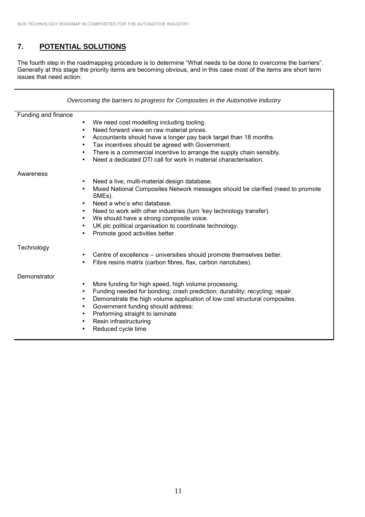# **7. POTENTIAL SOLUTIONS**

The fourth step in the roadmapping procedure is to determine "What needs to be done to overcome the barriers". Generally at this stage the priority items are becoming obvious, and in this case most of the items are short term issues that need action:

| Overcoming the barriers to progress for Composites in the Automotive Industry |                                                                                                                                                                                                                                                                                                                                                                                                                                                                                     |  |  |
|-------------------------------------------------------------------------------|-------------------------------------------------------------------------------------------------------------------------------------------------------------------------------------------------------------------------------------------------------------------------------------------------------------------------------------------------------------------------------------------------------------------------------------------------------------------------------------|--|--|
| Funding and finance                                                           |                                                                                                                                                                                                                                                                                                                                                                                                                                                                                     |  |  |
|                                                                               | We need cost modelling including tooling.<br>٠<br>Need forward view on raw material prices.<br>$\bullet$<br>Accountants should have a longer pay back target than 18 months.<br>$\bullet$<br>Tax incentives should be agreed with Government.<br>٠<br>There is a commercial incentive to arrange the supply chain sensibly.<br>$\bullet$<br>Need a dedicated DTI call for work in material characterisation.<br>$\bullet$                                                           |  |  |
| Awareness                                                                     |                                                                                                                                                                                                                                                                                                                                                                                                                                                                                     |  |  |
|                                                                               | Need a live, multi-material design database.<br>$\bullet$<br>Mixed National Composites Network messages should be clarified (need to promote<br>$\bullet$<br>SME <sub>s</sub> ).<br>Need a who's who database.<br>Need to work with other industries (turn 'key technology transfer).<br>$\bullet$<br>We should have a strong composite voice.<br>$\bullet$<br>UK plc political organisation to coordinate technology.<br>$\bullet$<br>Promote good activities better.<br>$\bullet$ |  |  |
| Technology                                                                    | Centre of excellence – universities should promote themselves better.<br>$\bullet$<br>Fibre resins matrix (carbon fibres, flax, carbon nanotubes).<br>$\bullet$                                                                                                                                                                                                                                                                                                                     |  |  |
| Demonstrator                                                                  | More funding for high speed, high volume processing.<br>$\bullet$<br>Funding needed for bonding; crash prediction; durability; recycling; repair.<br>$\bullet$<br>Demonstrate the high volume application of low cost structural composites.<br>$\bullet$<br>Government funding should address:<br>$\bullet$<br>Preforming straight to laminate<br>$\bullet$<br>Resin infrastructuring<br>$\bullet$<br>Reduced cycle time                                                           |  |  |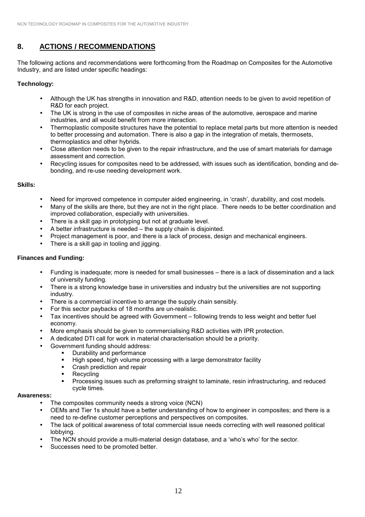# **8. ACTIONS / RECOMMENDATIONS**

The following actions and recommendations were forthcoming from the Roadmap on Composites for the Automotive Industry, and are listed under specific headings:

## **Technology:**

- Although the UK has strengths in innovation and R&D, attention needs to be given to avoid repetition of R&D for each project.
- The UK is strong in the use of composites in niche areas of the automotive, aerospace and marine industries, and all would benefit from more interaction.
- Thermoplastic composite structures have the potential to replace metal parts but more attention is needed to better processing and automation. There is also a gap in the integration of metals, thermosets, thermoplastics and other hybrids.
- Close attention needs to be given to the repair infrastructure, and the use of smart materials for damage assessment and correction.
- Recycling issues for composites need to be addressed, with issues such as identification, bonding and debonding, and re-use needing development work.

### **Skills:**

- Need for improved competence in computer aided engineering, in 'crash', durability, and cost models.
- Many of the skills are there, but they are not in the right place. There needs to be better coordination and improved collaboration, especially with universities.
- There is a skill gap in prototyping but not at graduate level.
- A better infrastructure is needed  $-$  the supply chain is disjointed.
- Project management is poor, and there is a lack of process, design and mechanical engineers.
- There is a skill gap in tooling and jigging.

## **Finances and Funding:**

- Funding is inadequate; more is needed for small businesses there is a lack of dissemination and a lack of university funding.
- There is a strong knowledge base in universities and industry but the universities are not supporting industry.
- There is a commercial incentive to arrange the supply chain sensibly.
- For this sector paybacks of 18 months are un-realistic.
- Tax incentives should be agreed with Government following trends to less weight and better fuel economy.
- More emphasis should be given to commercialising R&D activities with IPR protection.
- A dedicated DTI call for work in material characterisation should be a priority.
	- Government funding should address:
		- **.** Durability and performance
			- High speed, high volume processing with a large demonstrator facility
		- ! Crash prediction and repair
		- Recycling
		- ! Processing issues such as preforming straight to laminate, resin infrastructuring, and reduced cycle times.

#### **Awareness:**

- The composites community needs a strong voice (NCN)
- OEMs and Tier 1s should have a better understanding of how to engineer in composites; and there is a need to re-define customer perceptions and perspectives on composites.
- The lack of political awareness of total commercial issue needs correcting with well reasoned political lobbying.
- The NCN should provide a multi-material design database, and a 'who's who' for the sector.
- Successes need to be promoted better.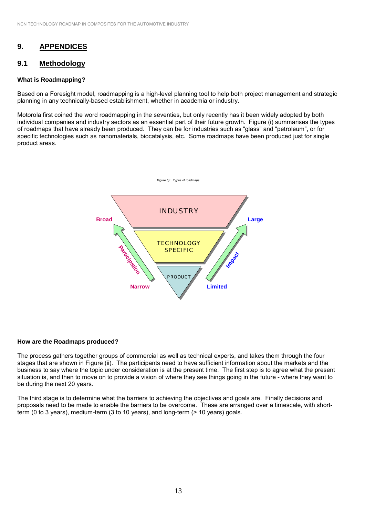# **9. APPENDICES**

### **9.1 Methodology**

#### **What is Roadmapping?**

Based on a Foresight model, roadmapping is a high-level planning tool to help both project management and strategic planning in any technically-based establishment, whether in academia or industry.

Motorola first coined the word roadmapping in the seventies, but only recently has it been widely adopted by both individual companies and industry sectors as an essential part of their future growth. Figure (i) summarises the types of roadmaps that have already been produced. They can be for industries such as "glass" and "petroleum", or for specific technologies such as nanomaterials, biocatalysis, etc. Some roadmaps have been produced just for single product areas.



#### **How are the Roadmaps produced?**

The process gathers together groups of commercial as well as technical experts, and takes them through the four stages that are shown in Figure (ii). The participants need to have sufficient information about the markets and the business to say where the topic under consideration is at the present time. The first step is to agree what the present situation is, and then to move on to provide a vision of where they see things going in the future - where they want to be during the next 20 years.

The third stage is to determine what the barriers to achieving the objectives and goals are. Finally decisions and proposals need to be made to enable the barriers to be overcome. These are arranged over a timescale, with shortterm (0 to 3 years), medium-term (3 to 10 years), and long-term (> 10 years) goals.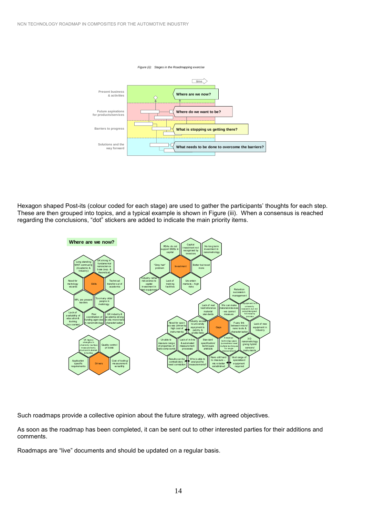

Hexagon shaped Post-its (colour coded for each stage) are used to gather the participants' thoughts for each step. These are then grouped into topics, and a typical example is shown in Figure (iii). When a consensus is reached regarding the conclusions, "dot" stickers are added to indicate the main priority items.



Such roadmaps provide a collective opinion about the future strategy, with agreed objectives.

As soon as the roadmap has been completed, it can be sent out to other interested parties for their additions and comments.

Roadmaps are "live" documents and should be updated on a regular basis.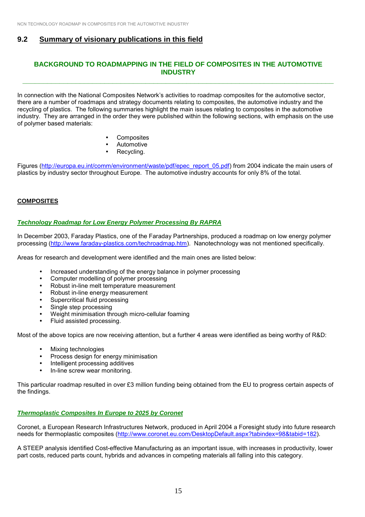## **9.2 Summary of visionary publications in this field**

## **BACKGROUND TO ROADMAPPING IN THE FIELD OF COMPOSITES IN THE AUTOMOTIVE INDUSTRY**

**\_\_\_\_\_\_\_\_\_\_\_\_\_\_\_\_\_\_\_\_\_\_\_\_\_\_\_\_\_\_\_\_\_\_\_\_\_\_\_\_\_\_\_\_\_\_\_\_\_\_\_\_\_\_\_\_\_\_\_\_\_\_\_\_\_\_\_\_\_\_\_\_\_\_\_\_**

In connection with the National Composites Network's activities to roadmap composites for the automotive sector, there are a number of roadmaps and strategy documents relating to composites, the automotive industry and the recycling of plastics. The following summaries highlight the main issues relating to composites in the automotive industry. They are arranged in the order they were published within the following sections, with emphasis on the use of polymer based materials:

- Composites
- **Automotive**
- Recycling.

Figures (http://europa.eu.int/comm/environment/waste/pdf/epec\_report\_05.pdf) from 2004 indicate the main users of plastics by industry sector throughout Europe. The automotive industry accounts for only 8% of the total.

#### **COMPOSITES**

#### *Technology Roadmap for Low Energy Polymer Processing By RAPRA*

In December 2003, Faraday Plastics, one of the Faraday Partnerships, produced a roadmap on low energy polymer processing (http://www.faraday-plastics.com/techroadmap.htm). Nanotechnology was not mentioned specifically.

Areas for research and development were identified and the main ones are listed below:

- Increased understanding of the energy balance in polymer processing
- Computer modelling of polymer processing
- Robust in-line melt temperature measurement
- Robust in-line energy measurement
- Supercritical fluid processing
- Single step processing
- Weight minimisation through micro-cellular foaming
- Fluid assisted processing.

Most of the above topics are now receiving attention, but a further 4 areas were identified as being worthy of R&D:

- Mixing technologies
- Process design for energy minimisation
- Intelligent processing additives
- In-line screw wear monitoring.

This particular roadmap resulted in over £3 million funding being obtained from the EU to progress certain aspects of the findings.

#### *Thermoplastic Composites In Europe to 2025 by Coronet*

Coronet, a European Research Infrastructures Network, produced in April 2004 a Foresight study into future research needs for thermoplastic composites (http://www.coronet.eu.com/DesktopDefault.aspx?tabindex=98&tabid=182).

A STEEP analysis identified Cost-effective Manufacturing as an important issue, with increases in productivity, lower part costs, reduced parts count, hybrids and advances in competing materials all falling into this category.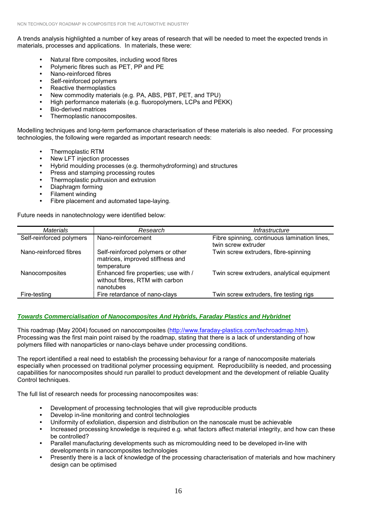A trends analysis highlighted a number of key areas of research that will be needed to meet the expected trends in materials, processes and applications. In materials, these were:

- Natural fibre composites, including wood fibres
- Polymeric fibres such as PET, PP and PE
- Nano-reinforced fibres
- Self-reinforced polymers
- Reactive thermoplastics
- New commodity materials (e.g. PA, ABS, PBT, PET, and TPU)
- High performance materials (e.g. fluoropolymers, LCPs and PEKK)
- **Bio-derived matrices**
- Thermoplastic nanocomposites.

Modelling techniques and long-term performance characterisation of these materials is also needed. For processing technologies, the following were regarded as important research needs:

- Thermoplastic RTM
- New LFT injection processes
- Hybrid moulding processes (e.g. thermohydroforming) and structures
- Press and stamping processing routes
- Thermoplastic pultrusion and extrusion
- Diaphragm forming
- **Filament winding**
- Fibre placement and automated tape-laying.

Future needs in nanotechnology were identified below:

| <b>Materials</b>         | Research                                                                             | Infrastructure                                                      |
|--------------------------|--------------------------------------------------------------------------------------|---------------------------------------------------------------------|
| Self-reinforced polymers | Nano-reinforcement                                                                   | Fibre spinning, continuous lamination lines,<br>twin screw extruder |
| Nano-reinforced fibres   | Self-reinforced polymers or other<br>matrices, improved stiffness and<br>temperature | Twin screw extruders, fibre-spinning                                |
| Nanocomposites           | Enhanced fire properties; use with /<br>without fibres, RTM with carbon<br>nanotubes | Twin screw extruders, analytical equipment                          |
| Fire-testing             | Fire retardance of nano-clays                                                        | Twin screw extruders, fire testing rigs                             |

#### *Towards Commercialisation of Nanocomposites And Hybrids, Faraday Plastics and Hybridnet*

This roadmap (May 2004) focused on nanocomposites (http://www.faraday-plastics.com/techroadmap.htm). Processing was the first main point raised by the roadmap, stating that there is a lack of understanding of how polymers filled with nanoparticles or nano-clays behave under processing conditions.

The report identified a real need to establish the processing behaviour for a range of nanocomposite materials especially when processed on traditional polymer processing equipment. Reproducibility is needed, and processing capabilities for nanocomposites should run parallel to product development and the development of reliable Quality Control techniques.

The full list of research needs for processing nanocomposites was:

- Development of processing technologies that will give reproducible products
- Develop in-line monitoring and control technologies
- Uniformity of exfoliation, dispersion and distribution on the nanoscale must be achievable
- Increased processing knowledge is required e.g. what factors affect material integrity, and how can these be controlled?
- Parallel manufacturing developments such as micromoulding need to be developed in-line with developments in nanocomposites technologies
- Presently there is a lack of knowledge of the processing characterisation of materials and how machinery design can be optimised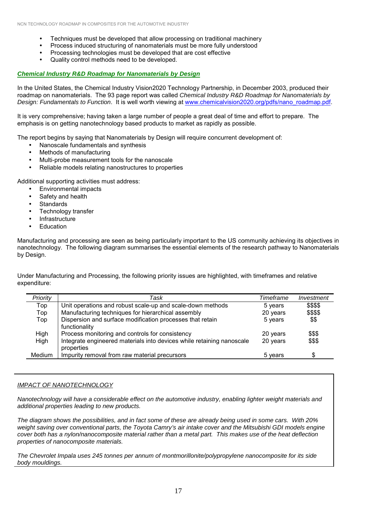- Techniques must be developed that allow processing on traditional machinery
- Process induced structuring of nanomaterials must be more fully understood
- Processing technologies must be developed that are cost effective
- Quality control methods need to be developed.

#### *Chemical Industry R&D Roadmap for Nanomaterials by Design*

In the United States, the Chemical Industry Vision2020 Technology Partnership, in December 2003, produced their roadmap on nanomaterials. The 93 page report was called *Chemical Industry R&D Roadmap for Nanomaterials by Design: Fundamentals to Function*. It is well worth viewing at www.chemicalvision2020.org/pdfs/nano\_roadmap.pdf.

It is very comprehensive; having taken a large number of people a great deal of time and effort to prepare. The emphasis is on getting nanotechnology based products to market as rapidly as possible.

The report begins by saying that Nanomaterials by Design will require concurrent development of:

- Nanoscale fundamentals and synthesis
- Methods of manufacturing
- Multi-probe measurement tools for the nanoscale
- Reliable models relating nanostructures to properties

Additional supporting activities must address:

- Environmental impacts
- Safety and health
- **Standards**
- Technology transfer
- **Infrastructure**
- **Education**

Manufacturing and processing are seen as being particularly important to the US community achieving its objectives in nanotechnology. The following diagram summarises the essential elements of the research pathway to Nanomaterials by Design.

Under Manufacturing and Processing, the following priority issues are highlighted, with timeframes and relative expenditure:

| Priority | Task                                                                  | Timeframe | Investment |
|----------|-----------------------------------------------------------------------|-----------|------------|
| Top      | Unit operations and robust scale-up and scale-down methods            | 5 years   | \$\$\$\$   |
| Top      | Manufacturing techniques for hierarchical assembly                    | 20 years  | \$\$\$\$   |
| Top      | Dispersion and surface modification processes that retain             | 5 years   | \$\$       |
|          | functionality                                                         |           |            |
| High     | Process monitoring and controls for consistency                       | 20 years  | \$\$\$     |
| High     | Integrate engineered materials into devices while retaining nanoscale | 20 years  | \$\$\$     |
|          | properties                                                            |           |            |
| Medium   | Impurity removal from raw material precursors                         | 5 years   | \$         |

#### *IMPACT OF NANOTECHNOLOGY*

*Nanotechnology will have a considerable effect on the automotive industry, enabling lighter weight materials and additional properties leading to new products.*

*The diagram shows the possibilities, and in fact some of these are already being used in some cars. With 20% weight saving over conventional parts, the Toyota Camry's air intake cover and the Mitsubishi GDI models engine cover both has a nylon/nanocomposite material rather than a metal part. This makes use of the heat deflection properties of nanocomposite materials.*

*The Chevrolet Impala uses 245 tonnes per annum of montmorillonite/polypropylene nanocomposite for its side body mouldings.*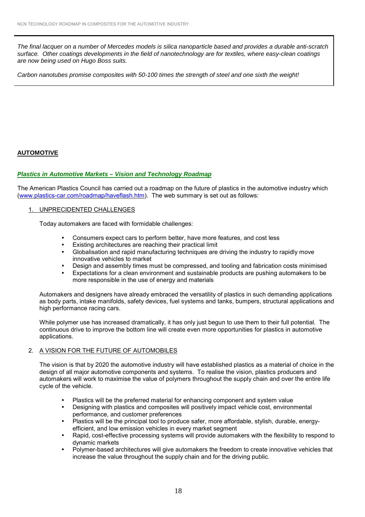*The final lacquer on a number of Mercedes models is silica nanoparticle based and provides a durable anti-scratch surface. Other coatings developments in the field of nanotechnology are for textiles, where easy-clean coatings are now being used on Hugo Boss suits.*

*Carbon nanotubes promise composites with 50-100 times the strength of steel and one sixth the weight!*

## **AUTOMOTIVE**

#### *Plastics in Automotive Markets – Vision and Technology Roadmap*

The American Plastics Council has carried out a roadmap on the future of plastics in the automotive industry which (www.plastics-car.com/roadmap/haveflash.htm). The web summary is set out as follows:

#### 1. UNPRECIDENTED CHALLENGES

Today automakers are faced with formidable challenges:

- Consumers expect cars to perform better, have more features, and cost less
- $\bullet$  Existing architectures are reaching their practical limit
- Globalisation and rapid manufacturing techniques are driving the industry to rapidly move innovative vehicles to market
- Design and assembly times must be compressed, and tooling and fabrication costs minimised
- Expectations for a clean environment and sustainable products are pushing automakers to be more responsible in the use of energy and materials

Automakers and designers have already embraced the versatility of plastics in such demanding applications as body parts, intake manifolds, safety devices, fuel systems and tanks, bumpers, structural applications and high performance racing cars.

While polymer use has increased dramatically, it has only just begun to use them to their full potential. The continuous drive to improve the bottom line will create even more opportunities for plastics in automotive applications.

#### 2. A VISION FOR THE FUTURE OF AUTOMOBILES

The vision is that by 2020 the automotive industry will have established plastics as a material of choice in the design of all major automotive components and systems. To realise the vision, plastics producers and automakers will work to maximise the value of polymers throughout the supply chain and over the entire life cycle of the vehicle.

- Plastics will be the preferred material for enhancing component and system value
- Designing with plastics and composites will positively impact vehicle cost, environmental performance, and customer preferences
- Plastics will be the principal tool to produce safer, more affordable, stylish, durable, energyefficient, and low emission vehicles in every market segment
- Rapid, cost-effective processing systems will provide automakers with the flexibility to respond to dynamic markets
- Polymer-based architectures will give automakers the freedom to create innovative vehicles that increase the value throughout the supply chain and for the driving public.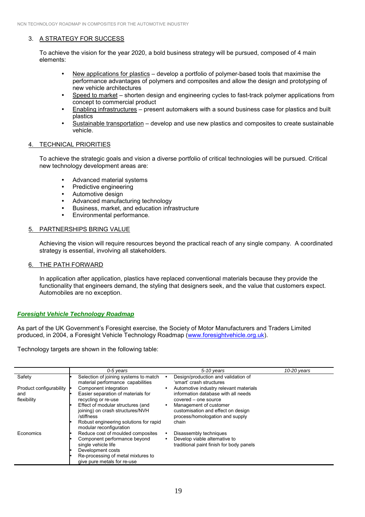## 3. A STRATEGY FOR SUCCESS

To achieve the vision for the year 2020, a bold business strategy will be pursued, composed of 4 main elements:

- New applications for plastics develop a portfolio of polymer-based tools that maximise the performance advantages of polymers and composites and allow the design and prototyping of new vehicle architectures
- Speed to market shorten design and engineering cycles to fast-track polymer applications from concept to commercial product
- Enabling infrastructures present automakers with a sound business case for plastics and built plastics
- \* Sustainable transportation develop and use new plastics and composites to create sustainable vehicle.

#### 4. TECHNICAL PRIORITIES

To achieve the strategic goals and vision a diverse portfolio of critical technologies will be pursued. Critical new technology development areas are:

- Advanced material systems
- Predictive engineering
- Automotive design
- Advanced manufacturing technology
- Business, market, and education infrastructure
- Environmental performance.

#### 5. PARTNERSHIPS BRING VALUE

Achieving the vision will require resources beyond the practical reach of any single company. A coordinated strategy is essential, involving all stakeholders.

#### 6. THE PATH FORWARD

In application after application, plastics have replaced conventional materials because they provide the functionality that engineers demand, the styling that designers seek, and the value that customers expect. Automobiles are no exception.

#### *Foresight Vehicle Technology Roadmap*

As part of the UK Government's Foresight exercise, the Society of Motor Manufacturers and Traders Limited produced, in 2004, a Foresight Vehicle Technology Roadmap (www.foresightvehicle.org.uk).

Technology targets are shown in the following table:

|                         | 0-5 years                                                                           | $5-10$ years                                                                                                 | $10-20$ years |
|-------------------------|-------------------------------------------------------------------------------------|--------------------------------------------------------------------------------------------------------------|---------------|
| Safety                  | Selection of joining systems to match<br>material performance capabilities          | Design/production and validation of<br>'smart' crash structures                                              |               |
| Product configurability | Component integration                                                               | Automotive industry relevant materials                                                                       |               |
| and                     | Easier separation of materials for                                                  | information database with all needs                                                                          |               |
| flexibility             | recycling or re-use                                                                 | covered – one source                                                                                         |               |
|                         | Effect of modular structures (and<br>joining) on crash structures/NVH<br>/stiffness | Management of customer<br>$\bullet$<br>customisation and effect on design<br>process/homologation and supply |               |
|                         | Robust engineering solutions for rapid<br>modular reconfiguration                   | chain                                                                                                        |               |
| Economics               | Reduce cost of moulded composites                                                   | Disassembly techniques<br>$\bullet$                                                                          |               |
|                         | Component performance beyond<br>single vehicle life                                 | Develop viable alternative to<br>traditional paint finish for body panels                                    |               |
|                         | Development costs                                                                   |                                                                                                              |               |
|                         | Re-processing of metal mixtures to                                                  |                                                                                                              |               |
|                         | give pure metals for re-use                                                         |                                                                                                              |               |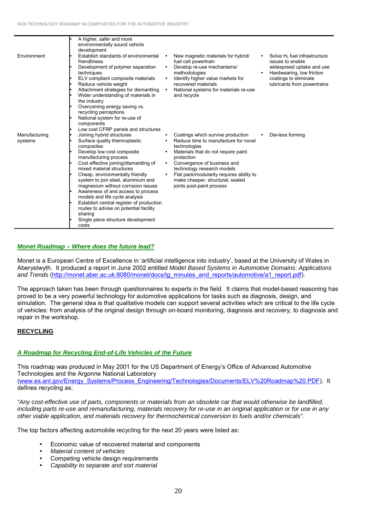|               | A higher, safer and more<br>environmentally sound vehicle |           |                                             |                                                        |
|---------------|-----------------------------------------------------------|-----------|---------------------------------------------|--------------------------------------------------------|
|               | development                                               |           |                                             |                                                        |
| Environment   | Establish standards of environmental                      | $\bullet$ | New magnetic materials for hybrid/          | Solve $H_2$ fuel infrastructure                        |
|               | friendliness                                              |           | fuel cell powertrain                        | issues to enable                                       |
|               | Development of polymer separation<br>techniques           | $\bullet$ | Develop re-use mechanisms/<br>methodologies | widespread uptake and use<br>Hardwearing, low friction |
|               | ELV compliant composite materials                         | $\bullet$ | Identify higher value markets for           | coatings to eliminate                                  |
|               | Reduce vehicle weight                                     |           | recovered materials                         | lubricants from powertrains                            |
|               | Attachment strategies for dismantling                     |           | National systems for materials re-use       |                                                        |
|               | Wider understanding of materials in                       |           | and recycle                                 |                                                        |
|               | the industry                                              |           |                                             |                                                        |
|               | Overcoming energy saving vs.                              |           |                                             |                                                        |
|               | recycling perceptions                                     |           |                                             |                                                        |
|               | National system for re-use of                             |           |                                             |                                                        |
|               | components                                                |           |                                             |                                                        |
|               | Low cost CFRP panels and structures                       |           |                                             |                                                        |
| Manufacturing | Joining hybrid structures                                 | $\bullet$ | Coatings which survive production           | Die-less forming                                       |
| systems       | Surface quality thermoplastic                             |           | Reduce time to manufacture for novel        |                                                        |
|               | composites                                                |           | technologies                                |                                                        |
|               | Develop low cost composite                                | $\bullet$ | Materials that do not require paint         |                                                        |
|               | manufacturing process                                     |           | protection                                  |                                                        |
|               | Cost effective joining/dismantling of                     |           | Convergence of business and                 |                                                        |
|               | mixed material structures                                 |           | technology research models                  |                                                        |
|               | Cheap, environmentally friendly                           |           | Flat pack/modularity requires ability to    |                                                        |
|               | system to join steel, aluminium and                       |           | make cheaper, structural, sealed            |                                                        |
|               | magnesium without corrosion issues                        |           | joints post-paint process                   |                                                        |
|               | Awareness of and access to process                        |           |                                             |                                                        |
|               | models and life cycle analysis                            |           |                                             |                                                        |
|               | Establish central register of production                  |           |                                             |                                                        |
|               | routes to advise on potential facility                    |           |                                             |                                                        |
|               | sharing                                                   |           |                                             |                                                        |
|               | Single piece structure development                        |           |                                             |                                                        |
|               | costs                                                     |           |                                             |                                                        |

#### *Monet Roadmap – Where does the future lead?*

Monet is a European Centre of Excellence in 'artificial intelligence into industry', based at the University of Wales in Aberystwyth. It produced a report in June 2002 entitled *Model Based Systems in Automotive Domains: Applications and Trends* (http://monet.aber.ac.uk:8080/monet/docs/tg\_minutes\_and\_reports/automotive/a1\_report.pdf).

The approach taken has been through questionnaires to experts in the field. It claims that model-based reasoning has proved to be a very powerful technology for automotive applications for tasks such as diagnosis, design, and simulation. The general idea is that qualitative models can support several activities which are critical to the life cycle of vehicles: from analysis of the original design through on-board monitoring, diagnosis and recovery, to diagnosis and repair in the workshop.

#### **RECYCLING**

#### *A Roadmap for Recycling End-of-Life Vehicles of the Future*

This roadmap was produced in May 2001 for the US Department of Energyís Office of Advanced Automotive Technologies and the Argonne National Laboratory (www.es.anl.gov/Energy\_Systems/Process\_Engineering/Technologies/Documents/ELV%20Roadmap%20.PDF). It defines recycling as:

*"Any cost-effective use of parts, components or materials from an obsolete car that would otherwise be landfilled, including parts re-use and remanufacturing, materials recovery for re-use in an original application or for use in any other viable application, and materials recovery for thermochemical conversion to fuels and/or chemicals".*

The top factors affecting automobile recycling for the next 20 years were listed as:

- Economic value of recovered material and components
- *Material content of vehicles*
- Competing vehicle design requirements
- # *Capability to separate and sort material*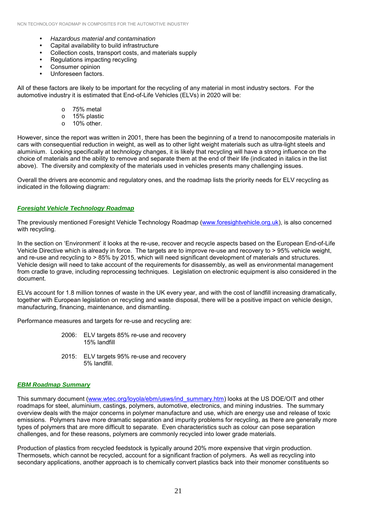- # *Hazardous material and contamination*
- Capital availability to build infrastructure
- Collection costs, transport costs, and materials supply
- Regulations impacting recycling
- Consumer opinion
- Unforeseen factors.

All of these factors are likely to be important for the recycling of any material in most industry sectors. For the automotive industry it is estimated that End-of-Life Vehicles (ELVs) in 2020 will be:

- o 75% metal
- o 15% plastic
- o 10% other.

However, since the report was written in 2001, there has been the beginning of a trend to nanocomposite materials in cars with consequential reduction in weight, as well as to other light weight materials such as ultra-light steels and aluminium. Looking specifically at technology changes, it is likely that recycling will have a strong influence on the choice of materials and the ability to remove and separate them at the end of their life (indicated in italics in the list above). The diversity and complexity of the materials used in vehicles presents many challenging issues.

Overall the drivers are economic and regulatory ones, and the roadmap lists the priority needs for ELV recycling as indicated in the following diagram:

#### *Foresight Vehicle Technology Roadmap*

The previously mentioned Foresight Vehicle Technology Roadmap (www.foresightvehicle.org.uk), is also concerned with recycling.

In the section on 'Environment' it looks at the re-use, recover and recycle aspects based on the European End-of-Life Vehicle Directive which is already in force. The targets are to improve re-use and recovery to > 95% vehicle weight, and re-use and recycling to > 85% by 2015, which will need significant development of materials and structures. Vehicle design will need to take account of the requirements for disassembly, as well as environmental management from cradle to grave, including reprocessing techniques. Legislation on electronic equipment is also considered in the document.

ELVs account for 1.8 million tonnes of waste in the UK every year, and with the cost of landfill increasing dramatically, together with European legislation on recycling and waste disposal, there will be a positive impact on vehicle design, manufacturing, financing, maintenance, and dismantling.

Performance measures and targets for re-use and recycling are:

- 2006: ELV targets 85% re-use and recovery 15% landfill
- 2015: ELV targets 95% re-use and recovery 5% landfill.

#### *EBM Roadmap Summary*

This summary document (www.wtec.org/loyola/ebm/usws/ind\_summary.htm) looks at the US DOE/OIT and other roadmaps for steel, aluminium, castings, polymers, automotive, electronics, and mining industries. The summary overview deals with the major concerns in polymer manufacture and use, which are energy use and release of toxic emissions. Polymers have more dramatic separation and impurity problems for recycling, as there are generally more types of polymers that are more difficult to separate. Even characteristics such as colour can pose separation challenges, and for these reasons, polymers are commonly recycled into lower grade materials.

Production of plastics from recycled feedstock is typically around 20% more expensive that virgin production. Thermosets, which cannot be recycled, account for a significant fraction of polymers. As well as recycling into secondary applications, another approach is to chemically convert plastics back into their monomer constituents so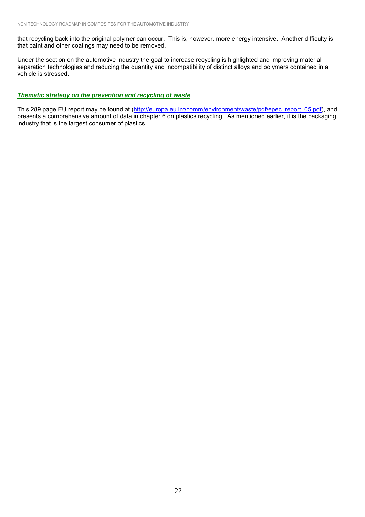that recycling back into the original polymer can occur. This is, however, more energy intensive. Another difficulty is that paint and other coatings may need to be removed.

Under the section on the automotive industry the goal to increase recycling is highlighted and improving material separation technologies and reducing the quantity and incompatibility of distinct alloys and polymers contained in a vehicle is stressed.

#### *Thematic strategy on the prevention and recycling of waste*

This 289 page EU report may be found at (http://europa.eu.int/comm/environment/waste/pdf/epec\_report\_05.pdf), and presents a comprehensive amount of data in chapter 6 on plastics recycling. As mentioned earlier, it is the packaging industry that is the largest consumer of plastics.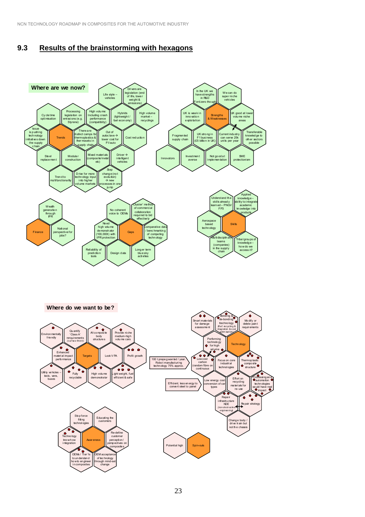NCN TECHNOLOGY ROADMAP IN COMPOSITES FOR THE AUTOMOTIVE INDUSTRY

## **9.3 Results of the brainstorming with hexagons**